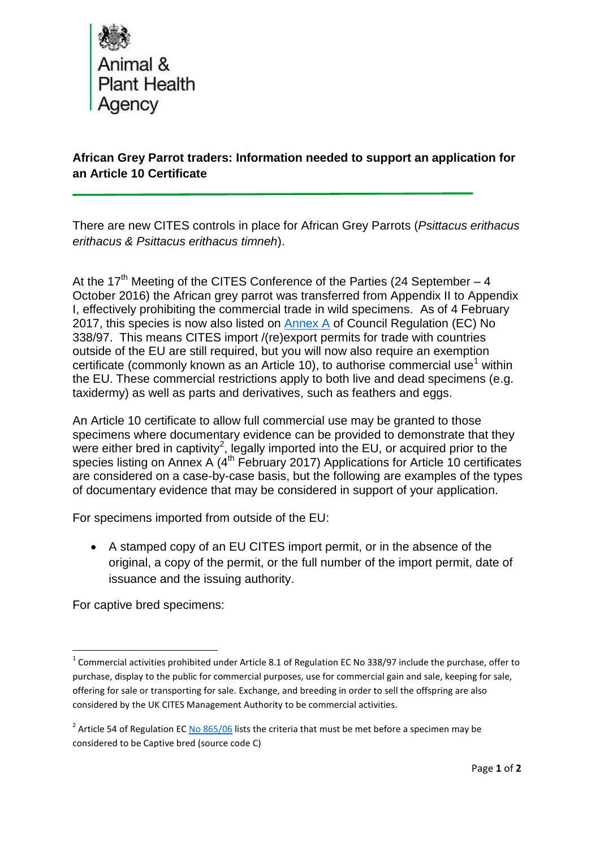

**African Grey Parrot traders: Information needed to support an application for an Article 10 Certificate**

There are new CITES controls in place for African Grey Parrots (*Psittacus erithacus erithacus & Psittacus erithacus timneh*).

At the 17<sup>th</sup> Meeting of the CITES Conference of the Parties (24 September  $-4$ October 2016) the African grey parrot was transferred from Appendix II to Appendix I, effectively prohibiting the commercial trade in wild specimens. As of 4 February 2017, this species is now also listed on **Annex A** of Council Regulation (EC) No 338/97. This means CITES import /(re)export permits for trade with countries outside of the EU are still required, but you will now also require an exemption certificate (commonly known as an Article 10), to authorise commercial use<sup>1</sup> within the EU. These commercial restrictions apply to both live and dead specimens (e.g. taxidermy) as well as parts and derivatives, such as feathers and eggs.

An Article 10 certificate to allow full commercial use may be granted to those specimens where documentary evidence can be provided to demonstrate that they were either bred in captivity<sup>2</sup>, legally imported into the EU, or acquired prior to the species listing on Annex A  $(4<sup>th</sup>$  February 2017) Applications for Article 10 certificates are considered on a case-by-case basis, but the following are examples of the types of documentary evidence that may be considered in support of your application.

For specimens imported from outside of the EU:

 A stamped copy of an EU CITES import permit, or in the absence of the original, a copy of the permit, or the full number of the import permit, date of issuance and the issuing authority.

For captive bred specimens:

 1 Commercial activities prohibited under Article 8.1 of Regulation EC No 338/97 include the purchase, offer to purchase, display to the public for commercial purposes, use for commercial gain and sale, keeping for sale, offering for sale or transporting for sale. Exchange, and breeding in order to sell the offspring are also considered by the UK CITES Management Authority to be commercial activities.

<sup>&</sup>lt;sup>2</sup> Article 54 of Regulation E[C No 865/06](http://eur-lex.europa.eu/legal-content/EN/TXT/PDF/?uri=CELEX:02006R0865-20131212&qid=1418128513241&from=EN) lists the criteria that must be met before a specimen may be considered to be Captive bred (source code C)